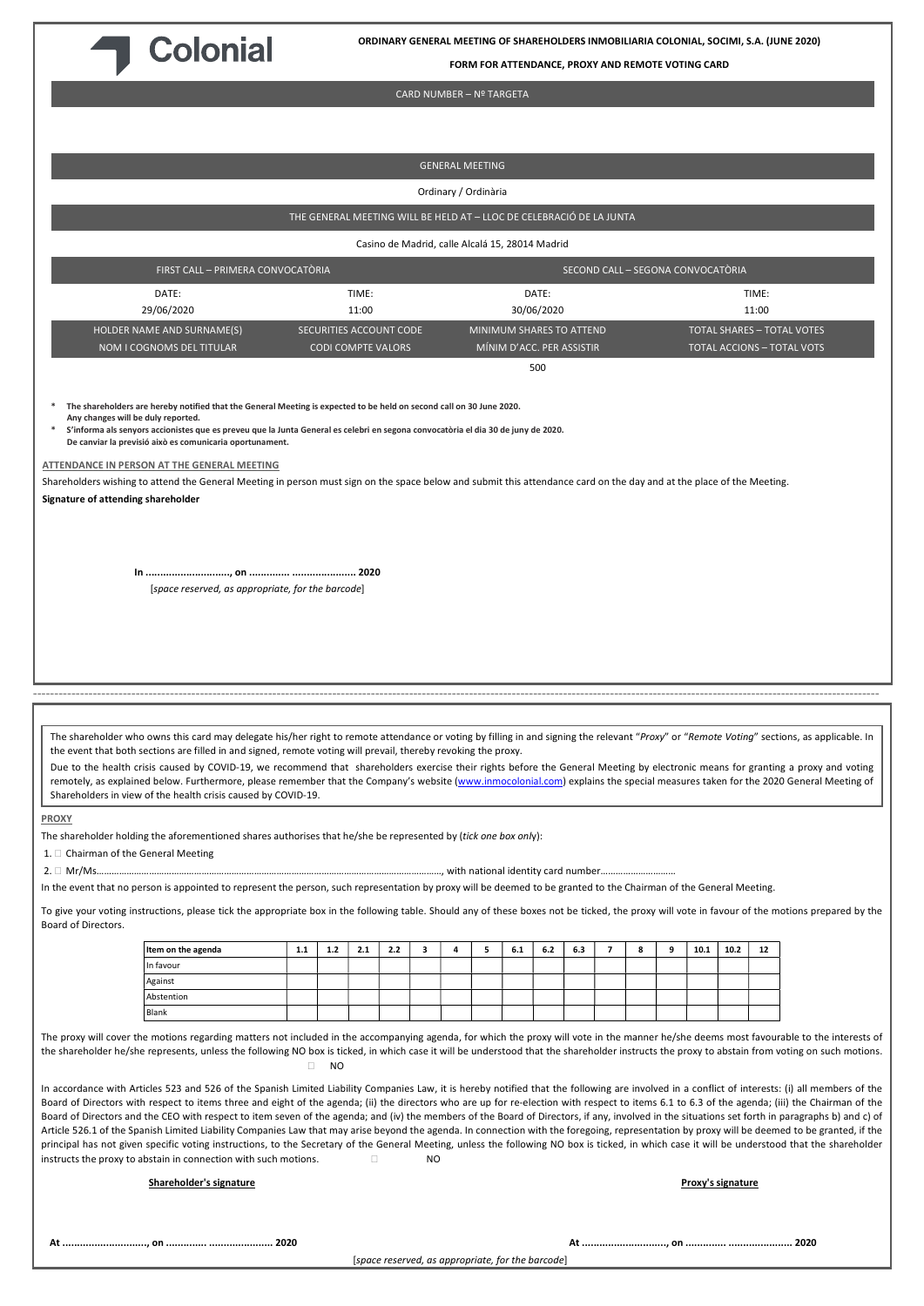

ORDINARY GENERAL MEETING OF SHAREHOLDERS INMOBILIARIA COLONIAL, SOCIMI, S.A. (JUNE 2020)

FORM FOR ATTENDANCE, PROXY AND REMOTE VOTING CARD

### CARD NUMBER – Nº TARGETA

GENERAL MEETING Ordinary / Ordinària THE GENERAL MEETING WILL BE HELD AT – LLOC DE CELEBRACIÓ DE LA JUNTA Casino de Madrid, calle Alcalá 15, 28014 Madrid FIRST CALL – PRIMERA CONVOCATÒRIA SECOND CALL – SEGONA CONVOCATÒRIA DATE: 29/06/2020 TIME: 11:00 DATE: 30/06/2020 TIME: 11:00 HOLDER NAME AND SURNAME(S) NOM I COGNOMS DEL TITULAR SECURITIES ACCOUNT CODE CODI COMPTE VALORS MINIMUM SHARES TO ATTEND MÍNIM D'ACC. PER ASSISTIR TOTAL SHARES – TOTAL VOTES TOTAL ACCIONS – TOTAL VOTS **500** The shareholders are hereby notified that the General Meeting is expected to be held on second call on 30 June 2020. Any changes will be duly reported. \* S'informa als senyors accionistes que es preveu que la Junta General es celebri en segona convocatòria el dia 30 de juny de 2020. De canviar la previsió això es comunicaria oportunament. ATTENDANCE IN PERSON AT THE GENERAL MEETING Shareholders wishing to attend the General Meeting in person must sign on the space below and submit this attendance card on the day and at the place of the Meeting. Signature of attending shareholder In ............................., on .............. ...................... 2020 [space reserved, as appropriate, for the barcode] ------------------------------------------------------------------------------------------------------------------------------------------------------------------------------------------------------ The shareholder who owns this card may delegate his/her right to remote attendance or voting by filling in and signing the relevant "Proxy" or "Remote Voting" sections, as applicable. In the event that both sections are filled in and signed, remote voting will prevail, thereby revoking the proxy. Due to the health crisis caused by COVID-19, we recommend that shareholders exercise their rights before the General Meeting by electronic means for granting a proxy and voting remotely, as explained below. Furthermore, please remember that the Company's website (www.inmocolonial.com) explains the special measures taken for the 2020 General Meeting of Shareholders in view of the health crisis caused by COVID-19. PROXY The shareholder holding the aforementioned shares authorises that he/she be represented by (tick one box only): 1.  $\Box$  Chairman of the General Meeting 2. Mr/Ms…………………………………………………………………………………………………………………………, with national identity card number………………………… In the event that no person is appointed to represent the person, such representation by proxy will be deemed to be granted to the Chairman of the General Meeting. To give your voting instructions, please tick the appropriate box in the following table. Should any of these boxes not be ticked, the proxy will vote in favour of the motions prepared by the Board of Directors. |Item on the agenda | 1.1 | 1.2 | 2.1 | 2.2 | 3 | 4 | 5 | 6.1 | 6.2 | 6.3 | 7 | 8 | 9 | 10.1 | 10.2 | 12 In favour Against Abstention Blank The proxy will cover the motions regarding matters not included in the accompanying agenda, for which the proxy will vote in the manner he/she deems most favourable to the interests of the shareholder he/she represents, unless the following NO box is ticked, in which case it will be understood that the shareholder instructs the proxy to abstain from voting on such motions.  $\Box$  NO In accordance with Articles 523 and 526 of the Spanish Limited Liability Companies Law, it is hereby notified that the following are involved in a conflict of interests: (i) all members of the Board of Directors with respect to items three and eight of the agenda; (ii) the directors who are up for re-election with respect to items 6.1 to 6.3 of the agenda; (iii) the Chairman of the Board of Directors and the CEO with respect to item seven of the agenda; and (iv) the members of the Board of Directors, if any, involved in the situations set forth in paragraphs b) and c) of Article 526.1 of the Spanish Limited Liability Companies Law that may arise beyond the agenda. In connection with the foregoing, representation by proxy will be deemed to be granted, if the principal has not given specific voting instructions, to the Secretary of the General Meeting, unless the following NO box is ticked, in which case it will be understood that the shareholder instructs the proxy to abstain in connection with such motions.  $\Box$ Shareholder's signature Proxy's signature

[space reserved, as appropriate, for the barcode]

At ............................., on .............. ...................... 2020 At ............................., on .............. ...................... 2020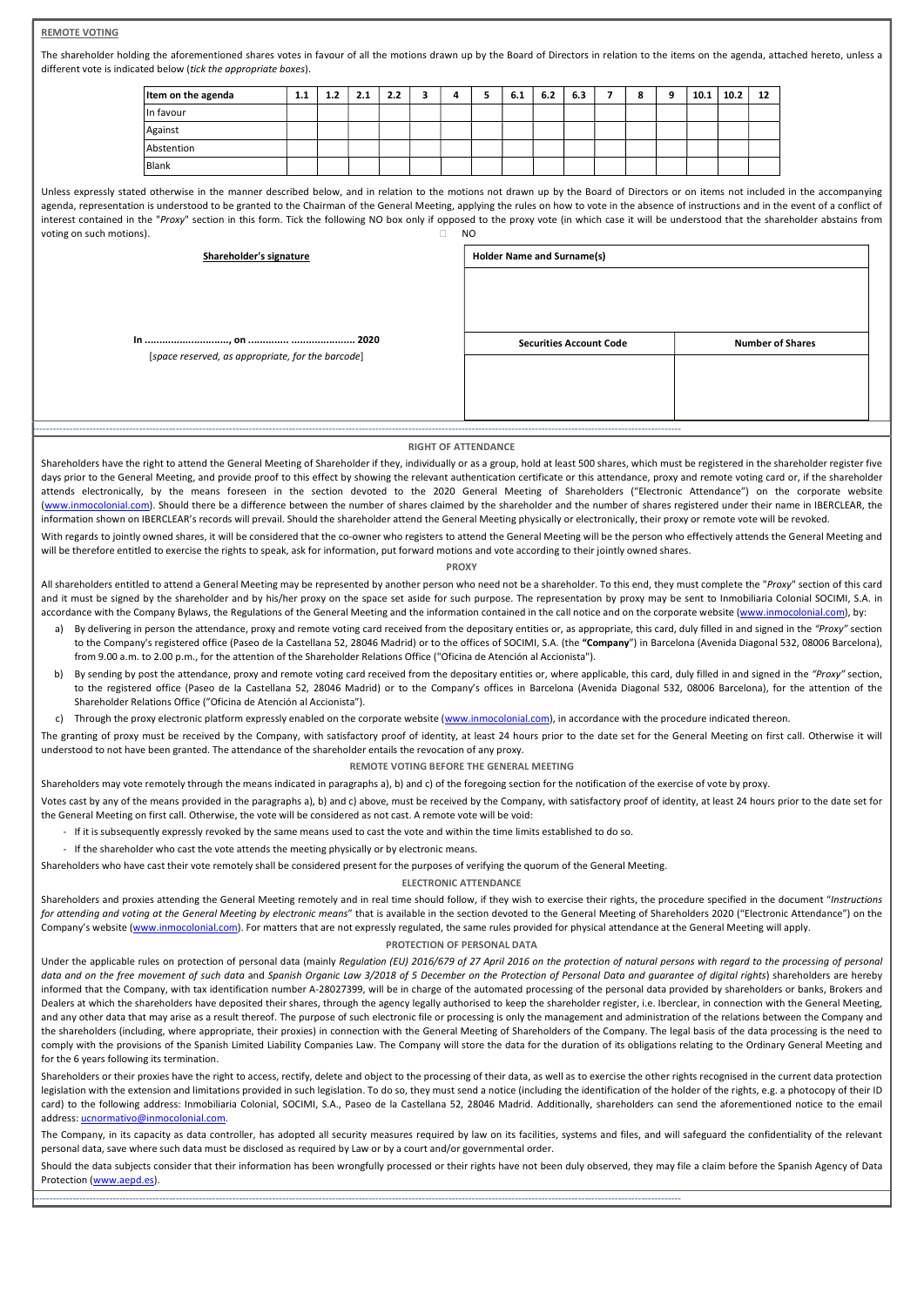# REMOTE VOTING

The shareholder holding the aforementioned shares votes in favour of all the motions drawn up by the Board of Directors in relation to the items on the agenda, attached hereto, unless a different vote is indicated below (tick the appropriate boxes).

| Item on the agenda | 1.1 | 1.2 | 2.1 | 2.2 |  | 6.1 | 6.2 | 6.3 | 8 | a | 10.1 | 10.2 | 12 |
|--------------------|-----|-----|-----|-----|--|-----|-----|-----|---|---|------|------|----|
| In favour          |     |     |     |     |  |     |     |     |   |   |      |      |    |
| Against            |     |     |     |     |  |     |     |     |   |   |      |      |    |
| Abstention         |     |     |     |     |  |     |     |     |   |   |      |      |    |
| Blank              |     |     |     |     |  |     |     |     |   |   |      |      |    |

Unless expressly stated otherwise in the manner described below, and in relation to the motions not drawn up by the Board of Directors or on items not included in the accompanying agenda, representation is understood to be granted to the Chairman of the General Meeting, applying the rules on how to vote in the absence of instructions and in the event of a conflict of interest contained in the "Proxy" section in this form. Tick the following NO box only if opposed to the proxy vote (in which case it will be understood that the shareholder abstains from voting on such motions).  $\Box$ 

| Shareholder's signature                           | <b>Holder Name and Surname(s)</b> |                         |  |  |  |  |
|---------------------------------------------------|-----------------------------------|-------------------------|--|--|--|--|
|                                                   |                                   |                         |  |  |  |  |
|                                                   | <b>Securities Account Code</b>    | <b>Number of Shares</b> |  |  |  |  |
| [space reserved, as appropriate, for the barcode] |                                   |                         |  |  |  |  |
|                                                   |                                   |                         |  |  |  |  |
|                                                   |                                   |                         |  |  |  |  |
| -----------------------                           |                                   |                         |  |  |  |  |

### RIGHT OF ATTENDANCE

Shareholders have the right to attend the General Meeting of Shareholder if they, individually or as a group, hold at least 500 shares, which must be registered in the shareholder register five days prior to the General Meeting, and provide proof to this effect by showing the relevant authentication certificate or this attendance, proxy and remote voting card or, if the shareholder attends electronically, by the means foreseen in the section devoted to the 2020 General Meeting of Shareholders ("Electronic Attendance") on the corporate website (www.inmocolonial.com). Should there be a difference between the number of shares claimed by the shareholder and the number of shares registered under their name in IBERCLEAR, the information shown on IBERCLEAR's records will prevail. Should the shareholder attend the General Meeting physically or electronically, their proxy or remote vote will be revoked. With regards to jointly owned shares, it will be considered that the co-owner who registers to attend the General Meeting will be the person who effectively attends the General Meeting and

#### PROXY

All shareholders entitled to attend a General Meeting may be represented by another person who need not be a shareholder. To this end, they must complete the "Proxy" section of this card and it must be signed by the shareholder and by his/her proxy on the space set aside for such purpose. The representation by proxy may be sent to Inmobiliaria Colonial SOCIMI, S.A. in accordance with the Company Bylaws, the Regulations of the General Meeting and the information contained in the call notice and on the corporate website (www.inmocolonial.com), by:

- a) By delivering in person the attendance, proxy and remote voting card received from the depositary entities or, as appropriate, this card, duly filled in and signed in the "Proxy" section to the Company's registered office (Paseo de la Castellana 52, 28046 Madrid) or to the offices of SOCIMI, S.A. (the "Company") in Barcelona (Avenida Diagonal 532, 08006 Barcelona), from 9.00 a.m. to 2.00 p.m., for the attention of the Shareholder Relations Office ("Oficina de Atención al Accionista").
- By sending by post the attendance, proxy and remote voting card received from the depositary entities or, where applicable, this card, duly filled in and signed in the "Proxy" section, to the registered office (Paseo de la Castellana 52, 28046 Madrid) or to the Company's offices in Barcelona (Avenida Diagonal 532, 08006 Barcelona), for the attention of the Shareholder Relations Office ("Oficina de Atención al Accionista").

c) Through the proxy electronic platform expressly enabled on the corporate website (www.inmocolonial.com), in accordance with the procedure indicated thereon.

The granting of proxy must be received by the Company, with satisfactory proof of identity, at least 24 hours prior to the date set for the General Meeting on first call. Otherwise it will understood to not have been granted. The attendance of the shareholder entails the revocation of any proxy.

#### REMOTE VOTING BEFORE THE GENERAL MEETING

Shareholders may vote remotely through the means indicated in paragraphs a), b) and c) of the foregoing section for the notification of the exercise of vote by proxy.

Votes cast by any of the means provided in the paragraphs a), b) and c) above, must be received by the Company, with satisfactory proof of identity, at least 24 hours prior to the date set for the General Meeting on first call. Otherwise, the vote will be considered as not cast. A remote vote will be void:

- If it is subsequently expressly revoked by the same means used to cast the vote and within the time limits established to do so.
- If the shareholder who cast the vote attends the meeting physically or by electronic means.

Shareholders who have cast their vote remotely shall be considered present for the purposes of verifying the quorum of the General Meeting.

-------------------------------------------------------------------------------------------------------------------------------------------------------------------------------------------------------

will be therefore entitled to exercise the rights to speak, ask for information, put forward motions and vote according to their jointly owned shares.

## ELECTRONIC ATTENDANCE

Shareholders and proxies attending the General Meeting remotely and in real time should follow, if they wish to exercise their rights, the procedure specified in the document "Instructions for attending and voting at the General Meeting by electronic means" that is available in the section devoted to the General Meeting of Shareholders 2020 ("Electronic Attendance") on the Company's website (www.inmocolonial.com). For matters that are not expressly regulated, the same rules provided for physical attendance at the General Meeting will apply.

## PROTECTION OF PERSONAL DATA

Under the applicable rules on protection of personal data (mainly Regulation (EU) 2016/679 of 27 April 2016 on the protection of natural persons with regard to the processing of personal data and on the free movement of such data and Spanish Organic Law 3/2018 of 5 December on the Protection of Personal Data and guarantee of digital rights) shareholders are hereby informed that the Company, with tax identification number A-28027399, will be in charge of the automated processing of the personal data provided by shareholders or banks, Brokers and Dealers at which the shareholders have deposited their shares, through the agency legally authorised to keep the shareholder register, i.e. Iberclear, in connection with the General Meeting, and any other data that may arise as a result thereof. The purpose of such electronic file or processing is only the management and administration of the relations between the Company and the shareholders (including, where appropriate, their proxies) in connection with the General Meeting of Shareholders of the Company. The legal basis of the data processing is the need to comply with the provisions of the Spanish Limited Liability Companies Law. The Company will store the data for the duration of its obligations relating to the Ordinary General Meeting and for the 6 years following its termination.

Shareholders or their proxies have the right to access, rectify, delete and object to the processing of their data, as well as to exercise the other rights recognised in the current data protection legislation with the extension and limitations provided in such legislation. To do so, they must send a notice (including the identification of the holder of the rights, e.g. a photocopy of their ID card) to the following address: Inmobiliaria Colonial, SOCIMI, S.A., Paseo de la Castellana 52, 28046 Madrid. Additionally, shareholders can send the aforementioned notice to the email address: ucnormativo@inmocolonial.com.

The Company, in its capacity as data controller, has adopted all security measures required by law on its facilities, systems and files, and will safeguard the confidentiality of the relevant personal data, save where such data must be disclosed as required by Law or by a court and/or governmental order.

Should the data subjects consider that their information has been wrongfully processed or their rights have not been duly observed, they may file a claim before the Spanish Agency of Data Protection (www.aepd.es).